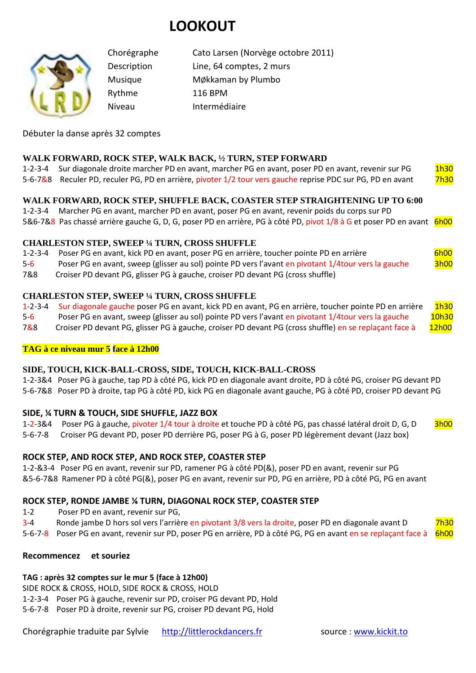# **LOOKOUT**



Chorégraphe Cato Larsen (Norvège octobre 2011) Description Line, 64 comptes, 2 murs Musique MØkkaman by Plumbo Rythme 116 BPM Niveau Intermédiaire

Débuter la danse après 32 comptes

### **WALK FORWARD, ROCK STEP, WALK BACK, ½ TURN, STEP FORWARD**

1-2-3-4 Sur diagonale droite marcher PD en avant, marcher PG en avant, poser PD en avant, revenir sur PG 1h30 5-6-7&8 Reculer PD, reculer PG, PD en arrière, pivoter 1/2 tour vers gauche reprise PDC sur PG, PD en avant 7h30

### **WALK FORWARD, ROCK STEP, SHUFFLE BACK, COASTER STEP STRAIGHTENING UP TO 6:00**

1-2-3-4 Marcher PG en avant, marcher PD en avant, poser PG en avant, revenir poids du corps sur PD 5&6-7&8 Pas chassé arrière gauche G, D, G, poser PD en arrière, PG à côté PD, pivot 1/8 à G et poser PD en avant 6h00

#### **CHARLESTON STEP, SWEEP ¼ TURN, CROSS SHUFFLE**

1-2-3-4 Poser PG en avant, kick PD en avant, poser PG en arrière, toucher pointe PD en arrière 6h00

5-6 Poser PG en avant, sweep (glisser au sol) pointe PD vers l'avant en pivotant 1/4tour vers la gauche 3h00

7&8 Croiser PD devant PG, glisser PG à gauche, croiser PD devant PG (cross shuffle)

#### **CHARLESTON STEP, SWEEP ¼ TURN, CROSS SHUFFLE**

1-2-3-4 Sur diagonale gauche poser PG en avant, kick PD en avant, PG en arrière, toucher pointe PD en arrière 1h30

5-6 Poser PG en avant, sweep (glisser au sol) pointe PD vers l'avant en pivotant 1/4tour vers la gauche 10h30

7&8 Croiser PD devant PG, glisser PG à gauche, croiser PD devant PG (cross shuffle) en se replaçant face à 12h00

### **TAG à ce niveau mur 5 face à 12h00**

#### **SIDE, TOUCH, KICK-BALL-CROSS, SIDE, TOUCH, KICK-BALL-CROSS**

1-2-3&4 Poser PG à gauche, tap PD à côté PG, kick PD en diagonale avant droite, PD à côté PG, croiser PG devant PD 5-6-7&8 Poser PD à droite, tap PG à côté PD, kick PG en diagonale avant gauche, PG à côté PD, croiser PD devant PG

### **SIDE, ¼ TURN & TOUCH, SIDE SHUFFLE, JAZZ BOX**

1-2-3&4 Poser PG à gauche, pivoter 1/4 tour à droite et touche PD à côté PG, pas chassé latéral droit D, G, D 3h00 5-6-7-8 Croiser PG devant PD, poser PD derrière PG, poser PG à G, poser PD légèrement devant (Jazz box)

## **ROCK STEP, AND ROCK STEP, AND ROCK STEP, COASTER STEP**

1-2-&3-4 Poser PG en avant, revenir sur PD, ramener PG à côté PD(&), poser PD en avant, revenir sur PG &5-6-7&8 Ramener PD à côté PG(&), poser PG en avant, revenir sur PD, PG en arrière, PD à côté PG, PG en avant

### **ROCK STEP, RONDE JAMBE ¼ TURN, DIAGONAL ROCK STEP, COASTER STEP**

1-2 Poser PD en avant, revenir sur PG,

3-4 Ronde jambe D hors sol vers l'arrière en pivotant 3/8 vers la droite, poser PD en diagonale avant D 7h30

5-6-7-8 Poser PG en avant, revenir sur PD, poser PG en arrière, PD à côté PG, PG en avant en se replacant face à 6h00

#### **Recommencez et souriez**

# **TAG : après 32 comptes sur le mur 5 (face à 12h00)**

SIDE ROCK & CROSS, HOLD, SIDE ROCK & CROSS, HOLD

1-2-3-4 Poser PG à gauche, revenir sur PD, croiser PG devant PD, Hold

5-6-7-8 Poser PD à droite, revenir sur PG, croiser PD devant PG, Hold

Chorégraphie traduite par Sylvie http://littlerockdancers.fr source : www.kickit.to